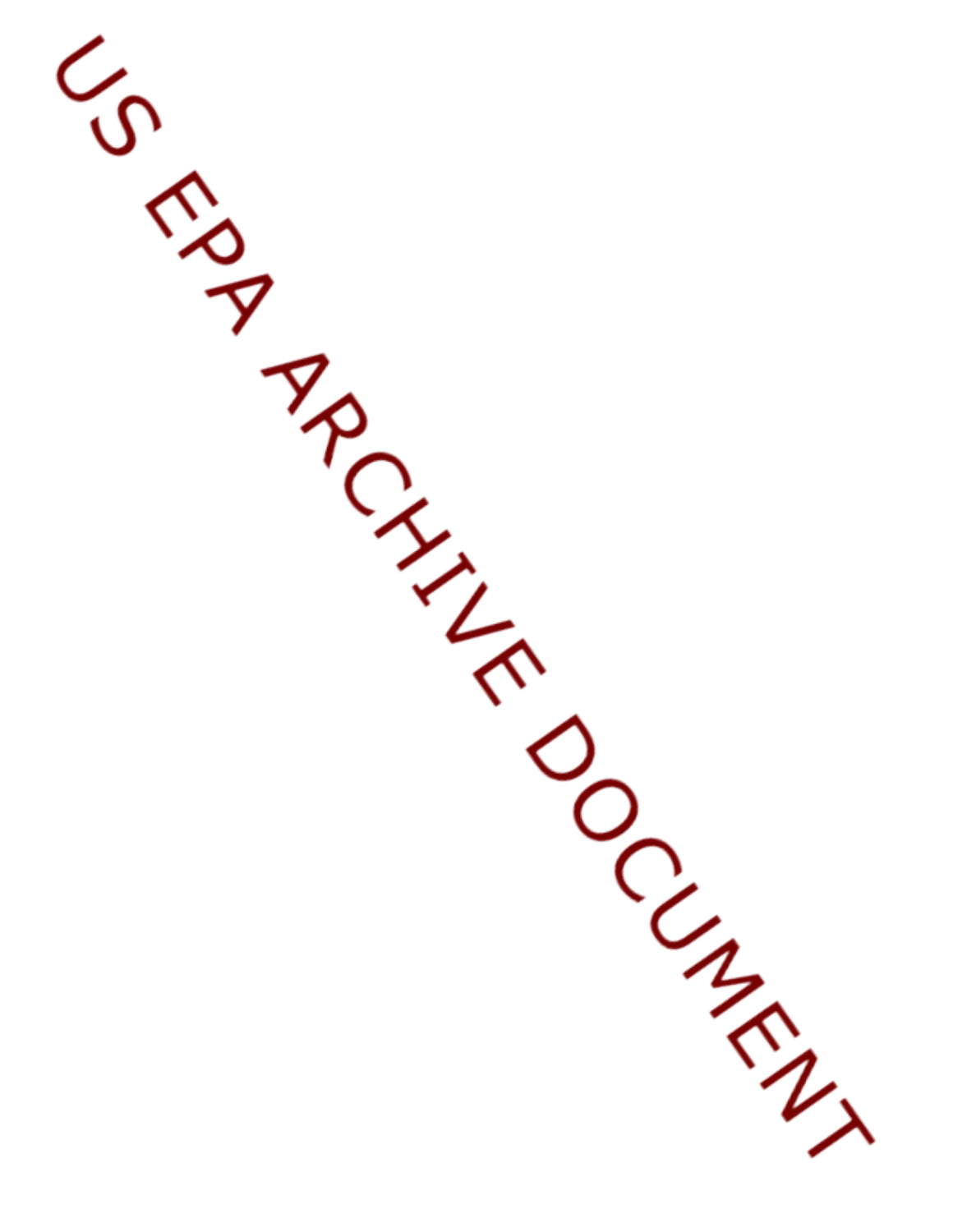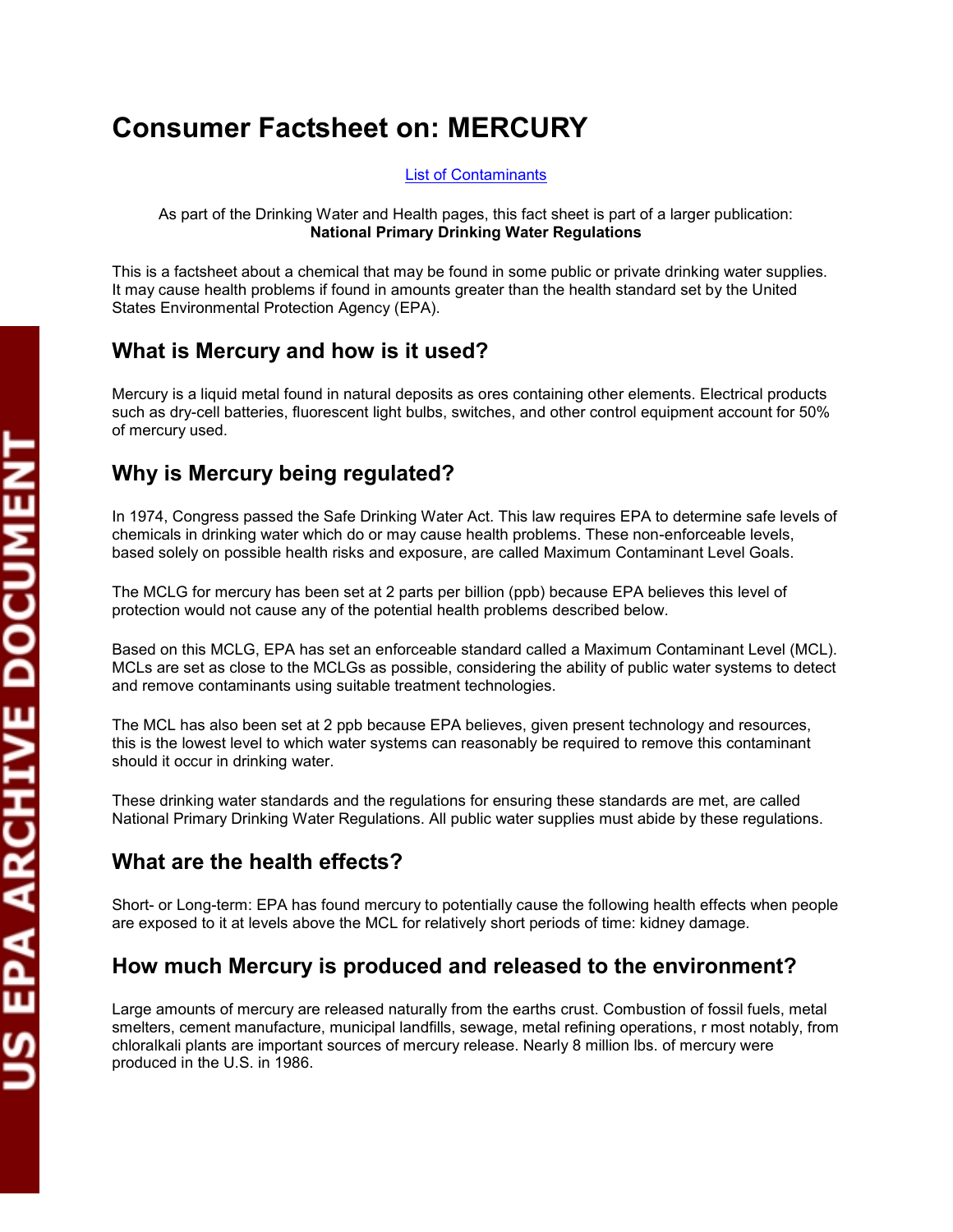# **Consumer Factsheet on: MERCURY**

[List of Contaminants](http://www.epa.gov/safewater/hfacts.html) 

 As part of the Drinking Water and Health pages, this fact sheet is part of a larger publication: **National Primary Drinking Water Regulations** 

 States Environmental Protection Agency (EPA). This is a factsheet about a chemical that may be found in some public or private drinking water supplies. It may cause health problems if found in amounts greater than the health standard set by the United

#### **What is Mercury and how is it used?**

 Mercury is a liquid metal found in natural deposits as ores containing other elements. Electrical products such as dry-cell batteries, fluorescent light bulbs, switches, and other control equipment account for 50% of mercury used.

## **Why is Mercury being regulated?**

 based solely on possible health risks and exposure, are called Maximum Contaminant Level Goals. In 1974, Congress passed the Safe Drinking Water Act. This law requires EPA to determine safe levels of chemicals in drinking water which do or may cause health problems. These non-enforceable levels,

 The MCLG for mercury has been set at 2 parts per billion (ppb) because EPA believes this level of protection would not cause any of the potential health problems described below.

 Based on this MCLG, EPA has set an enforceable standard called a Maximum Contaminant Level (MCL). MCLs are set as close to the MCLGs as possible, considering the ability of public water systems to detect and remove contaminants using suitable treatment technologies.

 should it occur in drinking water. The MCL has also been set at 2 ppb because EPA believes, given present technology and resources, this is the lowest level to which water systems can reasonably be required to remove this contaminant

These drinking water standards and the regulations for ensuring these standards are met, are called National Primary Drinking Water Regulations. All public water supplies must abide by these regulations.

## **What are the health effects?**

 are exposed to it at levels above the MCL for relatively short periods of time: kidney damage. Short- or Long-term: EPA has found mercury to potentially cause the following health effects when people

# **How much Mercury is produced and released to the environment?**

 Large amounts of mercury are released naturally from the earths crust. Combustion of fossil fuels, metal smelters, cement manufacture, municipal landfills, sewage, metal refining operations, r most notably, from chloralkali plants are important sources of mercury release. Nearly 8 million lbs. of mercury were produced in the U.S. in 1986.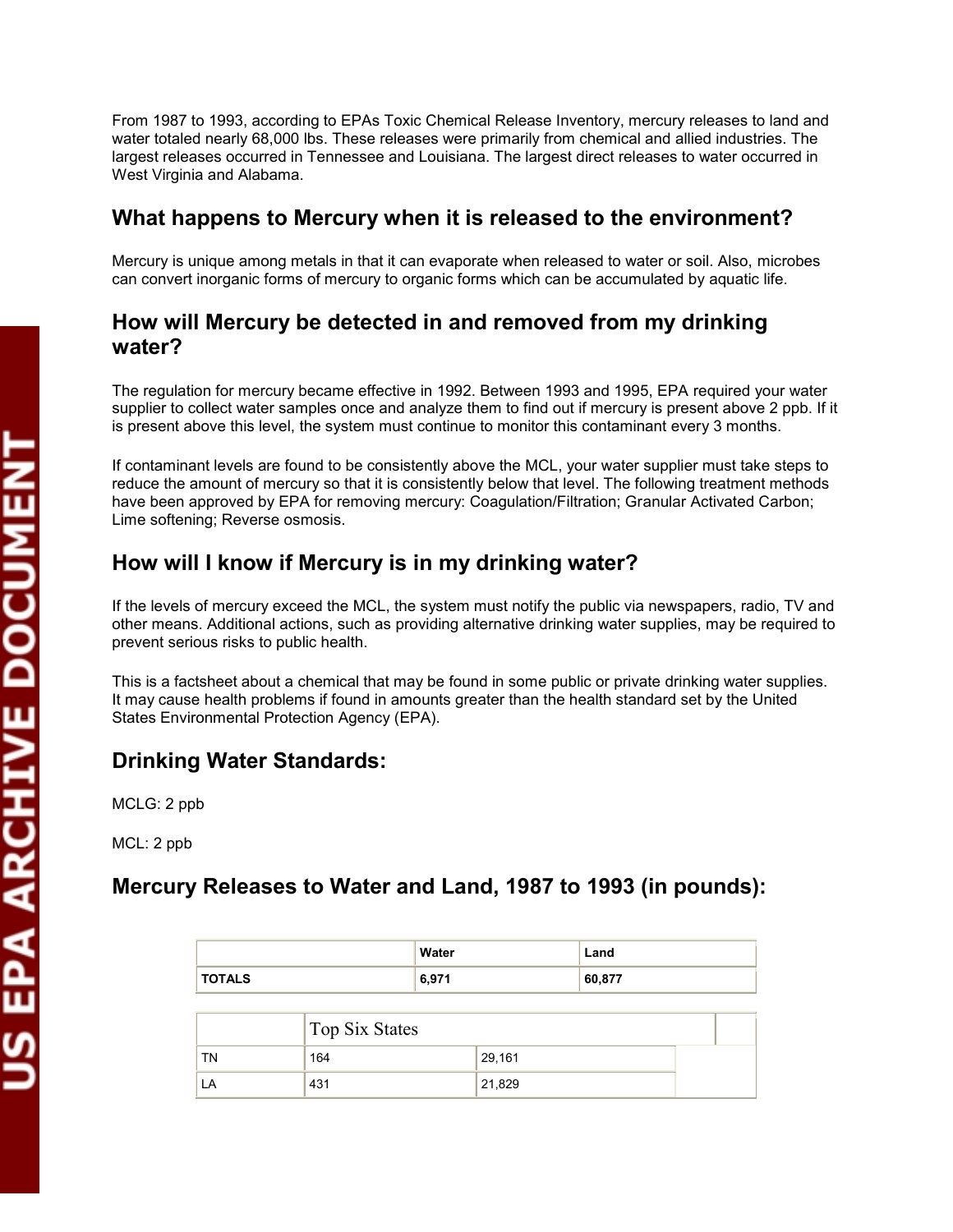water totaled nearly 68,000 lbs. These releases were primarily from chemical and allied industries. The West Virginia and Alabama. From 1987 to 1993, according to EPAs Toxic Chemical Release Inventory, mercury releases to land and largest releases occurred in Tennessee and Louisiana. The largest direct releases to water occurred in

## **What happens to Mercury when it is released to the environment?**

 Mercury is unique among metals in that it can evaporate when released to water or soil. Also, microbes can convert inorganic forms of mercury to organic forms which can be accumulated by aquatic life.

#### **How will Mercury be detected in and removed from my drinking water?**

 The regulation for mercury became effective in 1992. Between 1993 and 1995, EPA required your water supplier to collect water samples once and analyze them to find out if mercury is present above 2 ppb. If it is present above this level, the system must continue to monitor this contaminant every 3 months.

If contaminant levels are found to be consistently above the MCL, your water supplier must take steps to reduce the amount of mercury so that it is consistently below that level. The following treatment methods have been approved by EPA for removing mercury: Coagulation/Filtration; Granular Activated Carbon; Lime softening; Reverse osmosis.

# **How will I know if Mercury is in my drinking water?**

 If the levels of mercury exceed the MCL, the system must notify the public via newspapers, radio, TV and other means. Additional actions, such as providing alternative drinking water supplies, may be required to prevent serious risks to public health.

 States Environmental Protection Agency (EPA). This is a factsheet about a chemical that may be found in some public or private drinking water supplies. It may cause health problems if found in amounts greater than the health standard set by the United

## **Drinking Water Standards:**

MCLG: 2 ppb

MCL: 2 ppb

## **Mercury Releases to Water and Land, 1987 to 1993 (in pounds):**

|               | Water | Land   |
|---------------|-------|--------|
| <b>TOTALS</b> | 6,971 | 60,877 |

|    | <b>Top Six States</b> |        |  |
|----|-----------------------|--------|--|
| TN | 164                   | 29,161 |  |
| LA | 431                   | 21,829 |  |